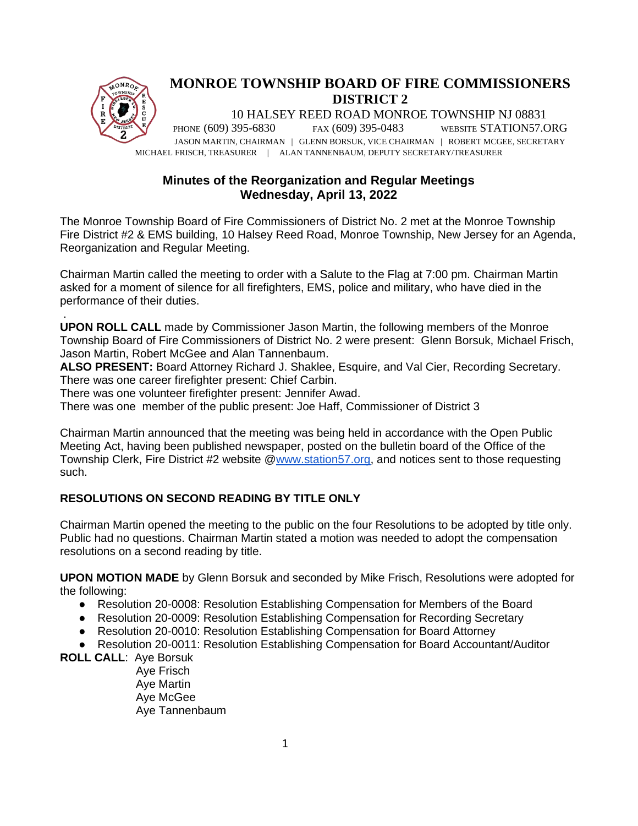

# **Minutes of the Reorganization and Regular Meetings Wednesday, April 13, 2022**

The Monroe Township Board of Fire Commissioners of District No. 2 met at the Monroe Township Fire District #2 & EMS building, 10 Halsey Reed Road, Monroe Township, New Jersey for an Agenda, Reorganization and Regular Meeting.

Chairman Martin called the meeting to order with a Salute to the Flag at 7:00 pm. Chairman Martin asked for a moment of silence for all firefighters, EMS, police and military, who have died in the performance of their duties.

. **UPON ROLL CALL** made by Commissioner Jason Martin, the following members of the Monroe Township Board of Fire Commissioners of District No. 2 were present: Glenn Borsuk, Michael Frisch, Jason Martin, Robert McGee and Alan Tannenbaum.

**ALSO PRESENT:** Board Attorney Richard J. Shaklee, Esquire, and Val Cier, Recording Secretary. There was one career firefighter present: Chief Carbin.

There was one volunteer firefighter present: Jennifer Awad.

There was one member of the public present: Joe Haff, Commissioner of District 3

Chairman Martin announced that the meeting was being held in accordance with the Open Public Meeting Act, having been published newspaper, posted on the bulletin board of the Office of the Township Clerk, Fire District #2 website [@www.station57.org,](http://www.station57.org/) and notices sent to those requesting such.

# **RESOLUTIONS ON SECOND READING BY TITLE ONLY**

Chairman Martin opened the meeting to the public on the four Resolutions to be adopted by title only. Public had no questions. Chairman Martin stated a motion was needed to adopt the compensation resolutions on a second reading by title.

**UPON MOTION MADE** by Glenn Borsuk and seconded by Mike Frisch, Resolutions were adopted for the following:

- Resolution 20-0008: Resolution Establishing Compensation for Members of the Board
- Resolution 20-0009: Resolution Establishing Compensation for Recording Secretary
- Resolution 20-0010: Resolution Establishing Compensation for Board Attorney

● Resolution 20-0011: Resolution Establishing Compensation for Board Accountant/Auditor

**ROLL CALL**: Aye Borsuk

 Aye Frisch Aye Martin Aye McGee Aye Tannenbaum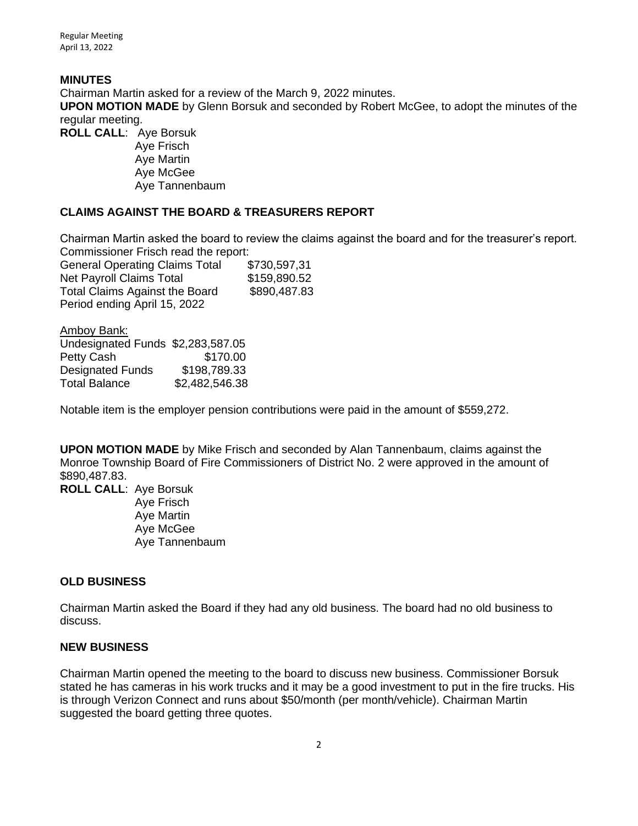Regular Meeting April 13, 2022

### **MINUTES**

Chairman Martin asked for a review of the March 9, 2022 minutes.

**UPON MOTION MADE** by Glenn Borsuk and seconded by Robert McGee, to adopt the minutes of the regular meeting.

**ROLL CALL**: Aye Borsuk

Aye Frisch Aye Martin Aye McGee Aye Tannenbaum

### **CLAIMS AGAINST THE BOARD & TREASURERS REPORT**

Chairman Martin asked the board to review the claims against the board and for the treasurer's report. Commissioner Frisch read the report:

General Operating Claims Total \$730,597,31 Net Payroll Claims Total \$159,890.52 Total Claims Against the Board \$890,487.83 Period ending April 15, 2022

Amboy Bank:

| Undesignated Funds \$2,283,587.05 |                |
|-----------------------------------|----------------|
| Petty Cash                        | \$170.00       |
| <b>Designated Funds</b>           | \$198,789.33   |
| Total Balance                     | \$2,482,546.38 |

Notable item is the employer pension contributions were paid in the amount of \$559,272.

**UPON MOTION MADE** by Mike Frisch and seconded by Alan Tannenbaum, claims against the Monroe Township Board of Fire Commissioners of District No. 2 were approved in the amount of \$890,487.83.

**ROLL CALL**: Aye Borsuk Aye Frisch Aye Martin Aye McGee Aye Tannenbaum

### **OLD BUSINESS**

Chairman Martin asked the Board if they had any old business. The board had no old business to discuss.

### **NEW BUSINESS**

Chairman Martin opened the meeting to the board to discuss new business. Commissioner Borsuk stated he has cameras in his work trucks and it may be a good investment to put in the fire trucks. His is through Verizon Connect and runs about \$50/month (per month/vehicle). Chairman Martin suggested the board getting three quotes.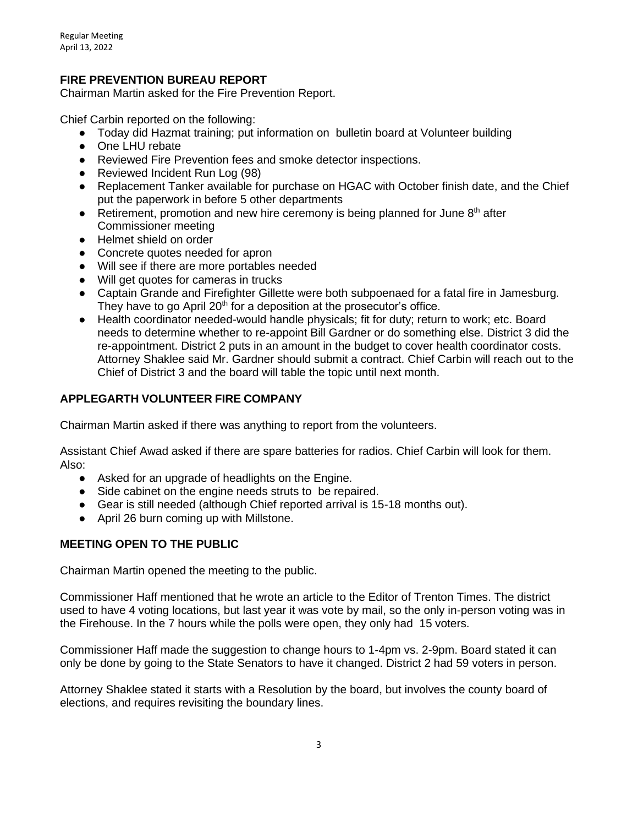## **FIRE PREVENTION BUREAU REPORT**

Chairman Martin asked for the Fire Prevention Report.

Chief Carbin reported on the following:

- Today did Hazmat training; put information on bulletin board at Volunteer building
- One LHU rebate
- Reviewed Fire Prevention fees and smoke detector inspections.
- Reviewed Incident Run Log (98)
- Replacement Tanker available for purchase on HGAC with October finish date, and the Chief put the paperwork in before 5 other departments
- Retirement, promotion and new hire ceremony is being planned for June  $8<sup>th</sup>$  after Commissioner meeting
- Helmet shield on order
- Concrete quotes needed for apron
- Will see if there are more portables needed
- Will get quotes for cameras in trucks
- Captain Grande and Firefighter Gillette were both subpoenaed for a fatal fire in Jamesburg. They have to go April  $20<sup>th</sup>$  for a deposition at the prosecutor's office.
- Health coordinator needed-would handle physicals; fit for duty; return to work; etc. Board needs to determine whether to re-appoint Bill Gardner or do something else. District 3 did the re-appointment. District 2 puts in an amount in the budget to cover health coordinator costs. Attorney Shaklee said Mr. Gardner should submit a contract. Chief Carbin will reach out to the Chief of District 3 and the board will table the topic until next month.

## **APPLEGARTH VOLUNTEER FIRE COMPANY**

Chairman Martin asked if there was anything to report from the volunteers.

Assistant Chief Awad asked if there are spare batteries for radios. Chief Carbin will look for them. Also:

- Asked for an upgrade of headlights on the Engine.
- Side cabinet on the engine needs struts to be repaired.
- Gear is still needed (although Chief reported arrival is 15-18 months out).
- April 26 burn coming up with Millstone.

### **MEETING OPEN TO THE PUBLIC**

Chairman Martin opened the meeting to the public.

Commissioner Haff mentioned that he wrote an article to the Editor of Trenton Times. The district used to have 4 voting locations, but last year it was vote by mail, so the only in-person voting was in the Firehouse. In the 7 hours while the polls were open, they only had 15 voters.

Commissioner Haff made the suggestion to change hours to 1-4pm vs. 2-9pm. Board stated it can only be done by going to the State Senators to have it changed. District 2 had 59 voters in person.

Attorney Shaklee stated it starts with a Resolution by the board, but involves the county board of elections, and requires revisiting the boundary lines.